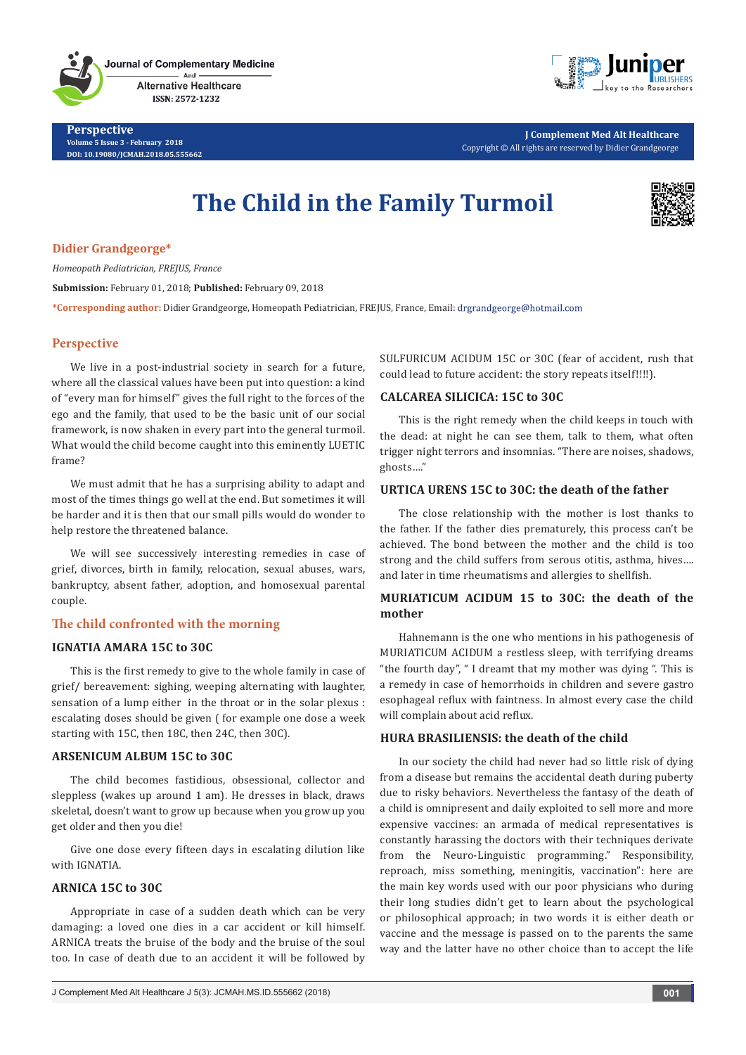**Perspective Volume 5 Issue 3 - February 2018 DOI: [10.19080/JCMAH.2018.05.555662](http://dx.doi.org/10.19080/JCMAH.2018.05.555662)**



**J Complement Med Alt Healthcare** Copyright © All rights are reserved by Didier Grandgeorge

# **The Child in the Family Turmoil**



## **Didier Grandgeorge\***

*Homeopath Pediatrician, FREJUS, France* **Submission:** February 01, 2018; **Published:** February 09, 2018 **\*Corresponding author:** Didier Grandgeorge, Homeopath Pediatrician, FREJUS, France, Email:

## **Perspective**

We live in a post-industrial society in search for a future, where all the classical values have been put into question: a kind of "every man for himself" gives the full right to the forces of the ego and the family, that used to be the basic unit of our social framework, is now shaken in every part into the general turmoil. What would the child become caught into this eminently LUETIC frame?

We must admit that he has a surprising ability to adapt and most of the times things go well at the end. But sometimes it will be harder and it is then that our small pills would do wonder to help restore the threatened balance.

We will see successively interesting remedies in case of grief, divorces, birth in family, relocation, sexual abuses, wars, bankruptcy, absent father, adoption, and homosexual parental couple.

# **The child confronted with the morning**

## **IGNATIA AMARA 15C to 30C**

This is the first remedy to give to the whole family in case of grief/ bereavement: sighing, weeping alternating with laughter, sensation of a lump either in the throat or in the solar plexus : escalating doses should be given ( for example one dose a week starting with 15C, then 18C, then 24C, then 30C).

## **ARSENICUM ALBUM 15C to 30C**

The child becomes fastidious, obsessional, collector and sleppless (wakes up around 1 am). He dresses in black, draws skeletal, doesn't want to grow up because when you grow up you get older and then you die!

Give one dose every fifteen days in escalating dilution like with IGNATIA

## **ARNICA 15C to 30C**

Appropriate in case of a sudden death which can be very damaging: a loved one dies in a car accident or kill himself. ARNICA treats the bruise of the body and the bruise of the soul too. In case of death due to an accident it will be followed by

SULFURICUM ACIDUM 15C or 30C (fear of accident, rush that could lead to future accident: the story repeats itself!!!!).

## **CALCAREA SILICICA: 15C to 30C**

This is the right remedy when the child keeps in touch with the dead: at night he can see them, talk to them, what often trigger night terrors and insomnias. "There are noises, shadows, ghosts…."

# **URTICA URENS 15C to 30C: the death of the father**

The close relationship with the mother is lost thanks to the father. If the father dies prematurely, this process can't be achieved. The bond between the mother and the child is too strong and the child suffers from serous otitis, asthma, hives…. and later in time rheumatisms and allergies to shellfish.

# **MURIATICUM ACIDUM 15 to 30C: the death of the mother**

Hahnemann is the one who mentions in his pathogenesis of MURIATICUM ACIDUM a restless sleep, with terrifying dreams "the fourth day", " I dreamt that my mother was dying ". This is a remedy in case of hemorrhoids in children and severe gastro esophageal reflux with faintness. In almost every case the child will complain about acid reflux.

## **HURA BRASILIENSIS: the death of the child**

In our society the child had never had so little risk of dying from a disease but remains the accidental death during puberty due to risky behaviors. Nevertheless the fantasy of the death of a child is omnipresent and daily exploited to sell more and more expensive vaccines: an armada of medical representatives is constantly harassing the doctors with their techniques derivate from the Neuro-Linguistic programming." Responsibility, reproach, miss something, meningitis, vaccination": here are the main key words used with our poor physicians who during their long studies didn't get to learn about the psychological or philosophical approach; in two words it is either death or vaccine and the message is passed on to the parents the same way and the latter have no other choice than to accept the life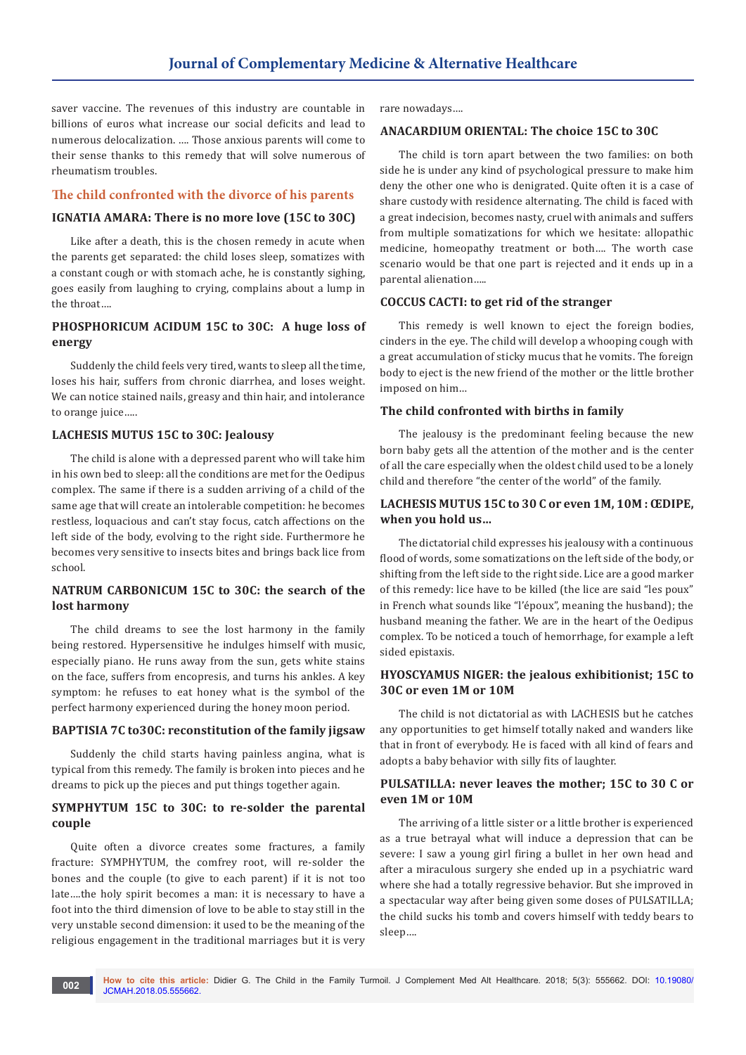saver vaccine. The revenues of this industry are countable in billions of euros what increase our social deficits and lead to numerous delocalization. …. Those anxious parents will come to their sense thanks to this remedy that will solve numerous of rheumatism troubles.

#### **The child confronted with the divorce of his parents**

#### **IGNATIA AMARA: There is no more love (15C to 30C)**

Like after a death, this is the chosen remedy in acute when the parents get separated: the child loses sleep, somatizes with a constant cough or with stomach ache, he is constantly sighing, goes easily from laughing to crying, complains about a lump in the throat….

# **PHOSPHORICUM ACIDUM 15C to 30C: A huge loss of energy**

Suddenly the child feels very tired, wants to sleep all the time, loses his hair, suffers from chronic diarrhea, and loses weight. We can notice stained nails, greasy and thin hair, and intolerance to orange juice…..

#### **LACHESIS MUTUS 15C to 30C: Jealousy**

The child is alone with a depressed parent who will take him in his own bed to sleep: all the conditions are met for the Oedipus complex. The same if there is a sudden arriving of a child of the same age that will create an intolerable competition: he becomes restless, loquacious and can't stay focus, catch affections on the left side of the body, evolving to the right side. Furthermore he becomes very sensitive to insects bites and brings back lice from school.

## **NATRUM CARBONICUM 15C to 30C: the search of the lost harmony**

The child dreams to see the lost harmony in the family being restored. Hypersensitive he indulges himself with music, especially piano. He runs away from the sun, gets white stains on the face, suffers from encopresis, and turns his ankles. A key symptom: he refuses to eat honey what is the symbol of the perfect harmony experienced during the honey moon period.

#### **BAPTISIA 7C to30C: reconstitution of the family jigsaw**

Suddenly the child starts having painless angina, what is typical from this remedy. The family is broken into pieces and he dreams to pick up the pieces and put things together again.

#### **SYMPHYTUM 15C to 30C: to re-solder the parental couple**

Quite often a divorce creates some fractures, a family fracture: SYMPHYTUM, the comfrey root, will re-solder the bones and the couple (to give to each parent) if it is not too late….the holy spirit becomes a man: it is necessary to have a foot into the third dimension of love to be able to stay still in the very unstable second dimension: it used to be the meaning of the religious engagement in the traditional marriages but it is very

rare nowadays….

#### **ANACARDIUM ORIENTAL: The choice 15C to 30C**

The child is torn apart between the two families: on both side he is under any kind of psychological pressure to make him deny the other one who is denigrated. Quite often it is a case of share custody with residence alternating. The child is faced with a great indecision, becomes nasty, cruel with animals and suffers from multiple somatizations for which we hesitate: allopathic medicine, homeopathy treatment or both…. The worth case scenario would be that one part is rejected and it ends up in a parental alienation…..

#### **COCCUS CACTI: to get rid of the stranger**

This remedy is well known to eject the foreign bodies, cinders in the eye. The child will develop a whooping cough with a great accumulation of sticky mucus that he vomits. The foreign body to eject is the new friend of the mother or the little brother imposed on him…

#### **The child confronted with births in family**

The jealousy is the predominant feeling because the new born baby gets all the attention of the mother and is the center of all the care especially when the oldest child used to be a lonely child and therefore "the center of the world" of the family.

## **LACHESIS MUTUS 15C to 30 C or even 1M, 10M : ŒDIPE, when you hold us…**

The dictatorial child expresses his jealousy with a continuous flood of words, some somatizations on the left side of the body, or shifting from the left side to the right side. Lice are a good marker of this remedy: lice have to be killed (the lice are said "les poux" in French what sounds like "l'époux", meaning the husband); the husband meaning the father. We are in the heart of the Oedipus complex. To be noticed a touch of hemorrhage, for example a left sided epistaxis.

## **HYOSCYAMUS NIGER: the jealous exhibitionist; 15C to 30C or even 1M or 10M**

The child is not dictatorial as with LACHESIS but he catches any opportunities to get himself totally naked and wanders like that in front of everybody. He is faced with all kind of fears and adopts a baby behavior with silly fits of laughter.

## **PULSATILLA: never leaves the mother; 15C to 30 C or even 1M or 10M**

The arriving of a little sister or a little brother is experienced as a true betrayal what will induce a depression that can be severe: I saw a young girl firing a bullet in her own head and after a miraculous surgery she ended up in a psychiatric ward where she had a totally regressive behavior. But she improved in a spectacular way after being given some doses of PULSATILLA; the child sucks his tomb and covers himself with teddy bears to sleep….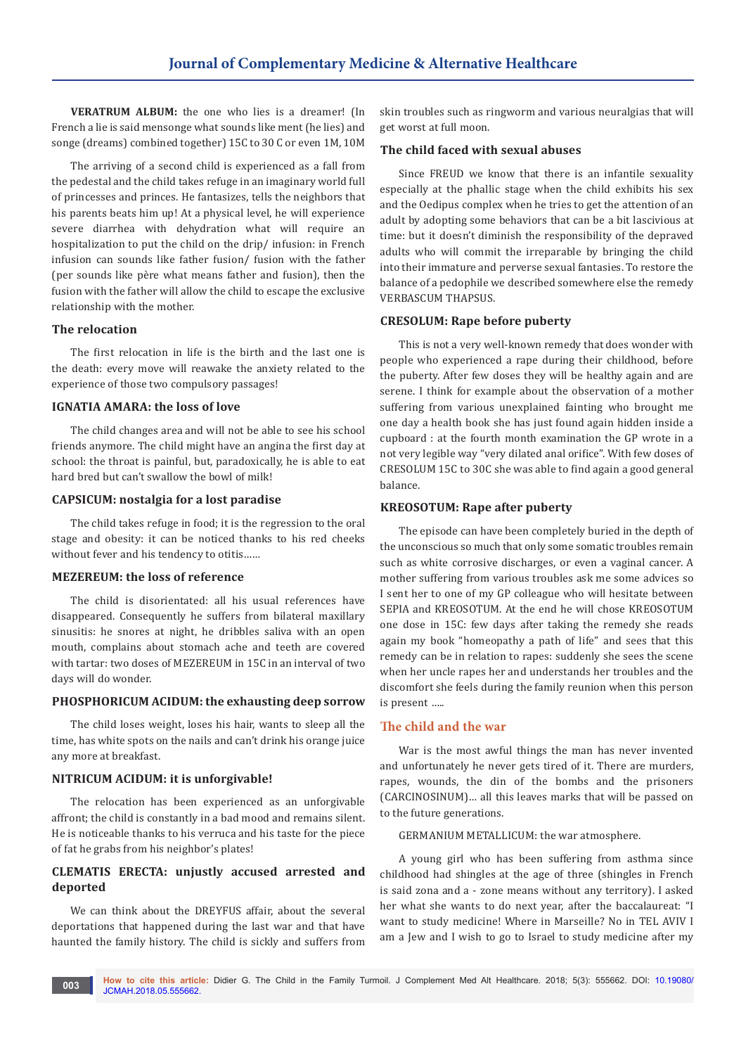**VERATRUM ALBUM:** the one who lies is a dreamer! (In French a lie is said mensonge what sounds like ment (he lies) and songe (dreams) combined together) 15C to 30 C or even 1M, 10M

The arriving of a second child is experienced as a fall from the pedestal and the child takes refuge in an imaginary world full of princesses and princes. He fantasizes, tells the neighbors that his parents beats him up! At a physical level, he will experience severe diarrhea with dehydration what will require an hospitalization to put the child on the drip/ infusion: in French infusion can sounds like father fusion/ fusion with the father (per sounds like père what means father and fusion), then the fusion with the father will allow the child to escape the exclusive relationship with the mother.

#### **The relocation**

The first relocation in life is the birth and the last one is the death: every move will reawake the anxiety related to the experience of those two compulsory passages!

#### **IGNATIA AMARA: the loss of love**

The child changes area and will not be able to see his school friends anymore. The child might have an angina the first day at school: the throat is painful, but, paradoxically, he is able to eat hard bred but can't swallow the bowl of milk!

## **CAPSICUM: nostalgia for a lost paradise**

The child takes refuge in food; it is the regression to the oral stage and obesity: it can be noticed thanks to his red cheeks without fever and his tendency to otitis……

#### **MEZEREUM: the loss of reference**

The child is disorientated: all his usual references have disappeared. Consequently he suffers from bilateral maxillary sinusitis: he snores at night, he dribbles saliva with an open mouth, complains about stomach ache and teeth are covered with tartar: two doses of MEZEREUM in 15C in an interval of two days will do wonder.

## **PHOSPHORICUM ACIDUM: the exhausting deep sorrow**

The child loses weight, loses his hair, wants to sleep all the time, has white spots on the nails and can't drink his orange juice any more at breakfast.

## **NITRICUM ACIDUM: it is unforgivable!**

The relocation has been experienced as an unforgivable affront; the child is constantly in a bad mood and remains silent. He is noticeable thanks to his verruca and his taste for the piece of fat he grabs from his neighbor's plates!

# **CLEMATIS ERECTA: unjustly accused arrested and deported**

We can think about the DREYFUS affair, about the several deportations that happened during the last war and that have haunted the family history. The child is sickly and suffers from

skin troubles such as ringworm and various neuralgias that will get worst at full moon.

#### **The child faced with sexual abuses**

Since FREUD we know that there is an infantile sexuality especially at the phallic stage when the child exhibits his sex and the Oedipus complex when he tries to get the attention of an adult by adopting some behaviors that can be a bit lascivious at time: but it doesn't diminish the responsibility of the depraved adults who will commit the irreparable by bringing the child into their immature and perverse sexual fantasies. To restore the balance of a pedophile we described somewhere else the remedy VERBASCUM THAPSUS.

## **CRESOLUM: Rape before puberty**

This is not a very well-known remedy that does wonder with people who experienced a rape during their childhood, before the puberty. After few doses they will be healthy again and are serene. I think for example about the observation of a mother suffering from various unexplained fainting who brought me one day a health book she has just found again hidden inside a cupboard : at the fourth month examination the GP wrote in a not very legible way "very dilated anal orifice". With few doses of CRESOLUM 15C to 30C she was able to find again a good general balance.

#### **KREOSOTUM: Rape after puberty**

The episode can have been completely buried in the depth of the unconscious so much that only some somatic troubles remain such as white corrosive discharges, or even a vaginal cancer. A mother suffering from various troubles ask me some advices so I sent her to one of my GP colleague who will hesitate between SEPIA and KREOSOTUM. At the end he will chose KREOSOTUM one dose in 15C: few days after taking the remedy she reads again my book "homeopathy a path of life" and sees that this remedy can be in relation to rapes: suddenly she sees the scene when her uncle rapes her and understands her troubles and the discomfort she feels during the family reunion when this person is present …..

## **The child and the war**

War is the most awful things the man has never invented and unfortunately he never gets tired of it. There are murders, rapes, wounds, the din of the bombs and the prisoners (CARCINOSINUM)… all this leaves marks that will be passed on to the future generations.

GERMANIUM METALLICUM: the war atmosphere.

A young girl who has been suffering from asthma since childhood had shingles at the age of three (shingles in French is said zona and a - zone means without any territory). I asked her what she wants to do next year, after the baccalaureat: "I want to study medicine! Where in Marseille? No in TEL AVIV I am a Jew and I wish to go to Israel to study medicine after my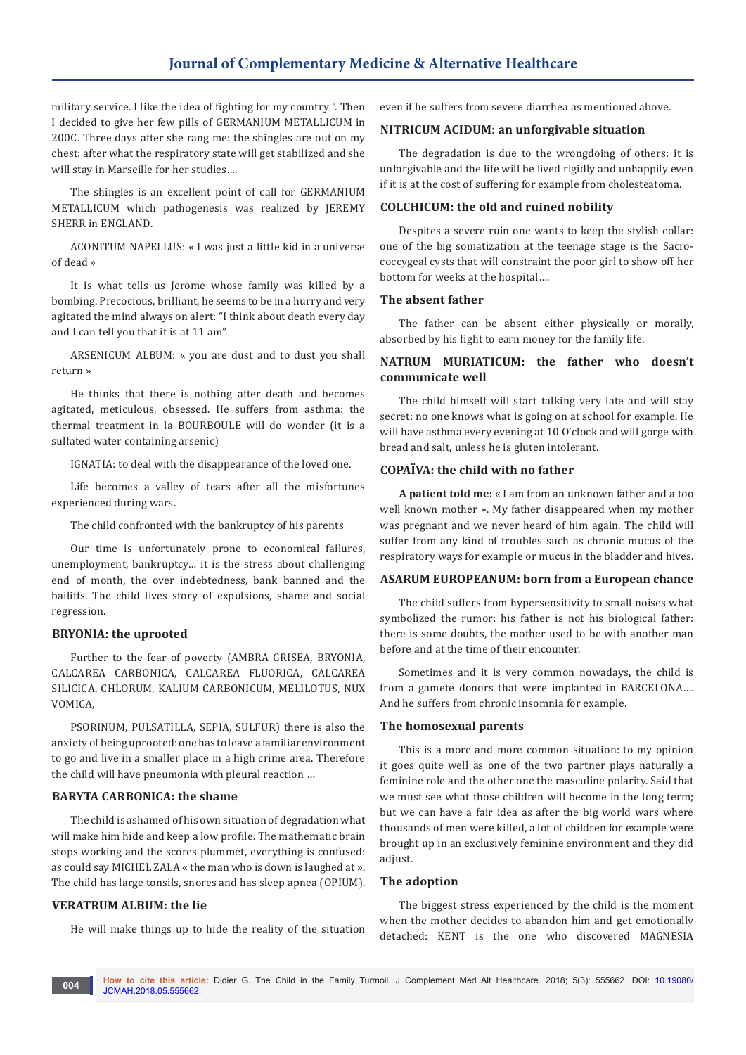military service. I like the idea of fighting for my country ". Then I decided to give her few pills of GERMANIUM METALLICUM in 200C. Three days after she rang me: the shingles are out on my chest: after what the respiratory state will get stabilized and she will stay in Marseille for her studies….

The shingles is an excellent point of call for GERMANIUM METALLICUM which pathogenesis was realized by JEREMY SHERR in ENGLAND.

ACONITUM NAPELLUS: « I was just a little kid in a universe of dead »

It is what tells us Jerome whose family was killed by a bombing. Precocious, brilliant, he seems to be in a hurry and very agitated the mind always on alert: "I think about death every day and I can tell you that it is at 11 am".

ARSENICUM ALBUM: « you are dust and to dust you shall return »

He thinks that there is nothing after death and becomes agitated, meticulous, obsessed. He suffers from asthma: the thermal treatment in la BOURBOULE will do wonder (it is a sulfated water containing arsenic)

IGNATIA: to deal with the disappearance of the loved one.

Life becomes a valley of tears after all the misfortunes experienced during wars.

The child confronted with the bankruptcy of his parents

Our time is unfortunately prone to economical failures, unemployment, bankruptcy… it is the stress about challenging end of month, the over indebtedness, bank banned and the bailiffs. The child lives story of expulsions, shame and social regression.

#### **BRYONIA: the uprooted**

Further to the fear of poverty (AMBRA GRISEA, BRYONIA, CALCAREA CARBONICA, CALCAREA FLUORICA, CALCAREA SILICICA, CHLORUM, KALIUM CARBONICUM, MELILOTUS, NUX VOMICA,

PSORINUM, PULSATILLA, SEPIA, SULFUR) there is also the anxiety of being uprooted: one has to leave a familiar environment to go and live in a smaller place in a high crime area. Therefore the child will have pneumonia with pleural reaction …

#### **BARYTA CARBONICA: the shame**

The child is ashamed of his own situation of degradation what will make him hide and keep a low profile. The mathematic brain stops working and the scores plummet, everything is confused: as could say MICHEL ZALA « the man who is down is laughed at ». The child has large tonsils, snores and has sleep apnea (OPIUM).

#### **VERATRUM ALBUM: the lie**

He will make things up to hide the reality of the situation

even if he suffers from severe diarrhea as mentioned above.

#### **NITRICUM ACIDUM: an unforgivable situation**

The degradation is due to the wrongdoing of others: it is unforgivable and the life will be lived rigidly and unhappily even if it is at the cost of suffering for example from cholesteatoma.

#### **COLCHICUM: the old and ruined nobility**

Despites a severe ruin one wants to keep the stylish collar: one of the big somatization at the teenage stage is the Sacrococcygeal cysts that will constraint the poor girl to show off her bottom for weeks at the hospital….

#### **The absent father**

The father can be absent either physically or morally, absorbed by his fight to earn money for the family life.

# **NATRUM MURIATICUM: the father who doesn't communicate well**

The child himself will start talking very late and will stay secret: no one knows what is going on at school for example. He will have asthma every evening at 10 O'clock and will gorge with bread and salt, unless he is gluten intolerant.

#### **COPAÏVA: the child with no father**

**A patient told me:** « I am from an unknown father and a too well known mother ». My father disappeared when my mother was pregnant and we never heard of him again. The child will suffer from any kind of troubles such as chronic mucus of the respiratory ways for example or mucus in the bladder and hives.

#### **ASARUM EUROPEANUM: born from a European chance**

The child suffers from hypersensitivity to small noises what symbolized the rumor: his father is not his biological father: there is some doubts, the mother used to be with another man before and at the time of their encounter.

Sometimes and it is very common nowadays, the child is from a gamete donors that were implanted in BARCELONA…. And he suffers from chronic insomnia for example.

#### **The homosexual parents**

This is a more and more common situation: to my opinion it goes quite well as one of the two partner plays naturally a feminine role and the other one the masculine polarity. Said that we must see what those children will become in the long term; but we can have a fair idea as after the big world wars where thousands of men were killed, a lot of children for example were brought up in an exclusively feminine environment and they did adjust.

#### **The adoption**

The biggest stress experienced by the child is the moment when the mother decides to abandon him and get emotionally detached: KENT is the one who discovered MAGNESIA